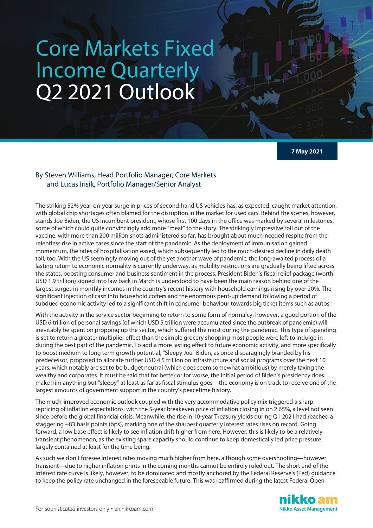## Core Markets Fixed Income Quarterly Q2 2021 Outlook

**7 May 2021**

## By Steven Williams, Head Portfolio Manager, Core Markets and Lucas Irisik, Portfolio Manager/Senior Analyst

The striking 52% year-on-year surge in prices of second-hand US vehicles has, as expected, caught market attention, with global chip shortages often blamed for the disruption in the market for used cars. Behind the scenes, however, stands Joe Biden, the US incumbent president, whose first 100 days in the office was marked by several milestones, some of which could quite convincingly add more "meat" to the story. The strikingly impressive roll out of the vaccine, with more than 200 million shots administered so far, has brought about much-needed respite from the relentless rise in active cases since the start of the pandemic. As the deployment of immunisation gained momentum, the rates of hospitalisation eased, which subsequently led to the much-desired decline in daily death toll, too. With the US seemingly moving out of the yet another wave of pandemic, the long-awaited process of a lasting return to economic normality is currently underway, as mobility restrictions are gradually being lifted across the states, boosting consumer and business sentiment in the process. President Biden's fiscal relief package (worth USD 1.9 trillion) signed into law back in March is understood to have been the main reason behind one of the largest surges in monthly incomes in the country's recent history with household earnings rising by over 20%. The significant injection of cash into household coffers and the enormous pent-up demand following a period of subdued economic activity led to a significant shift in consumer behaviour towards big ticket items such as autos.

With the activity in the service sector beginning to return to some form of normalcy, however, a good portion of the USD 6 trillion of personal savings (of which USD 5 trillion were accumulated since the outbreak of pandemic) will inevitably be spent on propping up the sector, which suffered the most during the pandemic. This type of spending is set to return a greater multiplier effect than the simple grocery shopping most people were left to indulge in during the best part of the pandemic. To add a more lasting effect to future economic activity, and more specifically to boost medium to long term growth potential, "Sleepy Joe" Biden, as once disparagingly branded by his predecessor, proposed to allocate further USD 4.5 trillion on infrastructure and social programs over the next 10 years, which notably are set to be budget neutral (which does seem somewhat ambitious) by merely taxing the wealthy and corporates. It must be said that for better or for worse, the initial period of Biden's presidency does make him anything but "sleepy" at least as far as fiscal stimulus goes—the economy is on track to receive one of the largest amounts of government support in the country's peacetime history.

The much-improved economic outlook coupled with the very accommodative policy mix triggered a sharp repricing of inflation expectations, with the 5-year breakeven price of inflation closing in on 2.65%, a level not seen since before the global financial crisis. Meanwhile, the rise in 10-year Treasury yields during Q1 2021 had reached a staggering +83 basis points (bps), marking one of the sharpest quarterly interest rates rises on record. Going forward, a low base effect is likely to see inflation drift higher from here. However, this is likely to be a relatively transient phenomenon, as the existing spare capacity should continue to keep domestically led price pressure largely contained at least for the time being.

As such we don't foresee interest rates moving much higher from here, although some overshooting—however transient—due to higher inflation prints in the coming months cannot be entirely ruled out. The short end of the interest rate curve is likely, however, to be dominated and mostly anchored by the Federal Reserve's (Fed) guidance to keep the policy rate unchanged in the foreseeable future. This was reaffirmed during the latest Federal Open

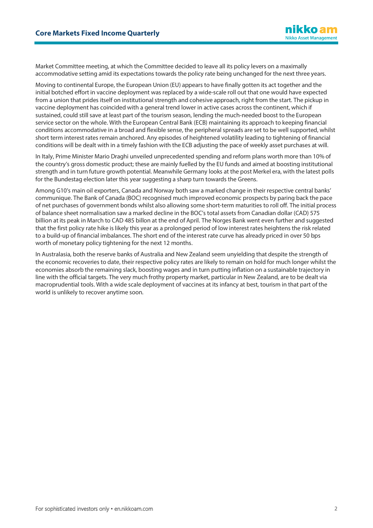Market Committee meeting, at which the Committee decided to leave all its policy levers on a maximally accommodative setting amid its expectations towards the policy rate being unchanged for the next three years.

Moving to continental Europe, the European Union (EU) appears to have finally gotten its act together and the initial botched effort in vaccine deployment was replaced by a wide-scale roll out that one would have expected from a union that prides itself on institutional strength and cohesive approach, right from the start. The pickup in vaccine deployment has coincided with a general trend lower in active cases across the continent, which if sustained, could still save at least part of the tourism season, lending the much-needed boost to the European service sector on the whole. With the European Central Bank (ECB) maintaining its approach to keeping financial conditions accommodative in a broad and flexible sense, the peripheral spreads are set to be well supported, whilst short term interest rates remain anchored. Any episodes of heightened volatility leading to tightening of financial conditions will be dealt with in a timely fashion with the ECB adjusting the pace of weekly asset purchases at will.

In Italy, Prime Minister Mario Draghi unveiled unprecedented spending and reform plans worth more than 10% of the country's gross domestic product; these are mainly fuelled by the EU funds and aimed at boosting institutional strength and in turn future growth potential. Meanwhile Germany looks at the post Merkel era, with the latest polls for the Bundestag election later this year suggesting a sharp turn towards the Greens.

Among G10's main oil exporters, Canada and Norway both saw a marked change in their respective central banks' communique. The Bank of Canada (BOC) recognised much improved economic prospects by paring back the pace of net purchases of government bonds whilst also allowing some short-term maturities to roll off. The initial process of balance sheet normalisation saw a marked decline in the BOC's total assets from Canadian dollar (CAD) 575 billion at its peak in March to CAD 485 billon at the end of April. The Norges Bank went even further and suggested that the first policy rate hike is likely this year as a prolonged period of low interest rates heightens the risk related to a build-up of financial imbalances. The short end of the interest rate curve has already priced in over 50 bps worth of monetary policy tightening for the next 12 months.

In Australasia, both the reserve banks of Australia and New Zealand seem unyielding that despite the strength of the economic recoveries to date, their respective policy rates are likely to remain on hold for much longer whilst the economies absorb the remaining slack, boosting wages and in turn putting inflation on a sustainable trajectory in line with the official targets. The very much frothy property market, particular in New Zealand, are to be dealt via macroprudential tools. With a wide scale deployment of vaccines at its infancy at best, tourism in that part of the world is unlikely to recover anytime soon.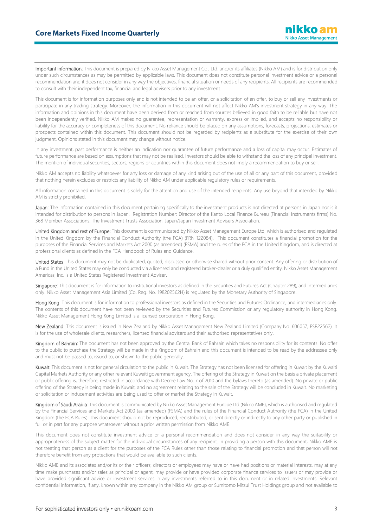Important information: This document is prepared by Nikko Asset Management Co., Ltd. and/or its affiliates (Nikko AM) and is for distribution only under such circumstances as may be permitted by applicable laws. This document does not constitute personal investment advice or a personal recommendation and it does not consider in any way the objectives, financial situation or needs of any recipients. All recipients are recommended to consult with their independent tax, financial and legal advisers prior to any investment.

This document is for information purposes only and is not intended to be an offer, or a solicitation of an offer, to buy or sell any investments or participate in any trading strategy. Moreover, the information in this document will not affect Nikko AM's investment strategy in any way. The information and opinions in this document have been derived from or reached from sources believed in good faith to be reliable but have not been independently verified. Nikko AM makes no guarantee, representation or warranty, express or implied, and accepts no responsibility or liability for the accuracy or completeness of this document. No reliance should be placed on any assumptions, forecasts, projections, estimates or prospects contained within this document. This document should not be regarded by recipients as a substitute for the exercise of their own judgment. Opinions stated in this document may change without notice.

In any investment, past performance is neither an indication nor guarantee of future performance and a loss of capital may occur. Estimates of future performance are based on assumptions that may not be realised. Investors should be able to withstand the loss of any principal investment. The mention of individual securities, sectors, regions or countries within this document does not imply a recommendation to buy or sell.

Nikko AM accepts no liability whatsoever for any loss or damage of any kind arising out of the use of all or any part of this document, provided that nothing herein excludes or restricts any liability of Nikko AM under applicable regulatory rules or requirements.

All information contained in this document is solely for the attention and use of the intended recipients. Any use beyond that intended by Nikko AM is strictly prohibited.

Japan: The information contained in this document pertaining specifically to the investment products is not directed at persons in Japan nor is it intended for distribution to persons in Japan. Registration Number: Director of the Kanto Local Finance Bureau (Financial Instruments firms) No. 368 Member Associations: The Investment Trusts Association, Japan/Japan Investment Advisers Association.

United Kingdom and rest of Europe: This document is communicated by Nikko Asset Management Europe Ltd, which is authorised and regulated in the United Kingdom by the Financial Conduct Authority (the FCA) (FRN 122084). This document constitutes a financial promotion for the purposes of the Financial Services and Markets Act 2000 (as amended) (FSMA) and the rules of the FCA in the United Kingdom, and is directed at professional clients as defined in the FCA Handbook of Rules and Guidance.

United States: This document may not be duplicated, quoted, discussed or otherwise shared without prior consent. Any offering or distribution of a Fund in the United States may only be conducted via a licensed and registered broker-dealer or a duly qualified entity. Nikko Asset Management Americas, Inc. is a United States Registered Investment Adviser.

Singapore: This document is for information to institutional investors as defined in the Securities and Futures Act (Chapter 289), and intermediaries only. Nikko Asset Management Asia Limited (Co. Reg. No. 198202562H) is regulated by the Monetary Authority of Singapore.

Hong Kong: This document is for information to professional investors as defined in the Securities and Futures Ordinance, and intermediaries only. The contents of this document have not been reviewed by the Securities and Futures Commission or any regulatory authority in Hong Kong. Nikko Asset Management Hong Kong Limited is a licensed corporation in Hong Kong.

New Zealand: This document is issued in New Zealand by Nikko Asset Management New Zealand Limited (Company No. 606057, FSP22562). It is for the use of wholesale clients, researchers, licensed financial advisers and their authorised representatives only.

Kingdom of Bahrain: The document has not been approved by the Central Bank of Bahrain which takes no responsibility for its contents. No offer to the public to purchase the Strategy will be made in the Kingdom of Bahrain and this document is intended to be read by the addressee only and must not be passed to, issued to, or shown to the public generally.

Kuwait: This document is not for general circulation to the public in Kuwait. The Strategy has not been licensed for offering in Kuwait by the Kuwaiti Capital Markets Authority or any other relevant Kuwaiti government agency. The offering of the Strategy in Kuwait on the basis a private placement or public offering is, therefore, restricted in accordance with Decree Law No. 7 of 2010 and the bylaws thereto (as amended). No private or public offering of the Strategy is being made in Kuwait, and no agreement relating to the sale of the Strategy will be concluded in Kuwait. No marketing or solicitation or inducement activities are being used to offer or market the Strategy in Kuwait.

Kingdom of Saudi Arabia: This document is communicated by Nikko Asset Management Europe Ltd (Nikko AME), which is authorised and regulated by the Financial Services and Markets Act 2000 (as amended) (FSMA) and the rules of the Financial Conduct Authority (the FCA) in the United Kingdom (the FCA Rules). This document should not be reproduced, redistributed, or sent directly or indirectly to any other party or published in full or in part for any purpose whatsoever without a prior written permission from Nikko AME.

This document does not constitute investment advice or a personal recommendation and does not consider in any way the suitability or appropriateness of the subject matter for the individual circumstances of any recipient. In providing a person with this document, Nikko AME is not treating that person as a client for the purposes of the FCA Rules other than those relating to financial promotion and that person will not therefore benefit from any protections that would be available to such clients.

Nikko AME and its associates and/or its or their officers, directors or employees may have or have had positions or material interests, may at any time make purchases and/or sales as principal or agent, may provide or have provided corporate finance services to issuers or may provide or have provided significant advice or investment services in any investments referred to in this document or in related investments. Relevant confidential information, if any, known within any company in the Nikko AM group or Sumitomo Mitsui Trust Holdings group and not available to